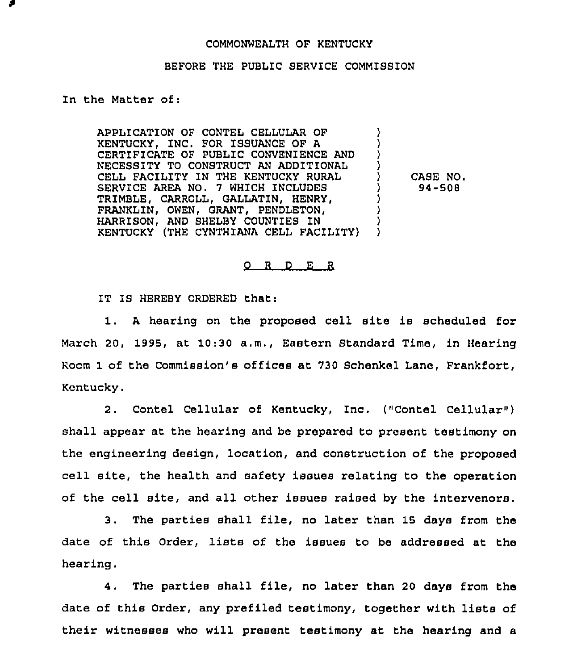## COMMONWEALTH OF KENTUCKY

## BEFORE THE PUBLIC SERVICE COMMISSION

## In the Matter of:

APPLICATION OF CONTEL CELLULAR OF KENTUCKY, INC. FOR ISSUANCE OF A CERTIFICATE OF PUBLIC CONVENIENCE AND NECESSITY TO CONSTRUCT AN ADDITIONAL CELL FACILITY IN THE KENTUCKY RURAL SERVICE AREA NO. 7 WHICH INCLUDES TRIMBLE, CARROLL, GALLATIN, HENRY, FRANKLIN, OWEN, GRANT, PENDLETON, HARRISON, AND SHELBY COUNTIES IN KENTUCKY (THE CYNTHIANA CELL FACILITY) ) ) ) ) ) CASE NO, ) 94-508 ) ) ) )

0 <sup>R</sup> <sup>D</sup> E <sup>R</sup>

IT IS HEREBY ORDERED that:

<sup>A</sup> hearing on the proposed cell site is scheduled for March 20, 1995, at 10:30 a.m., Eastern Standard Time, in Hearing Room 1 of the Commission's offices at 730 Schenkel Lane, Frankfort, Kentucky.

2. Contel Cellular of Kentucky, Inc. ("Contel Cellular" ) shall appear at the hearing and be prepared to present testimony on the engineering design, location, and construction of the proposed cell site, the health and safety issues relating to the operation of the cell site, and all other issues raised by the intervenors.

3. The parties shall file, no later than 15 days from the date of this Order, lists of the issues to be addressed at the hearing.

4. The parties shall file, no later than <sup>20</sup> days from the date of this Order, any pzefiled testimony, together with lists of their witnesses who will present testimony at the hearing and a